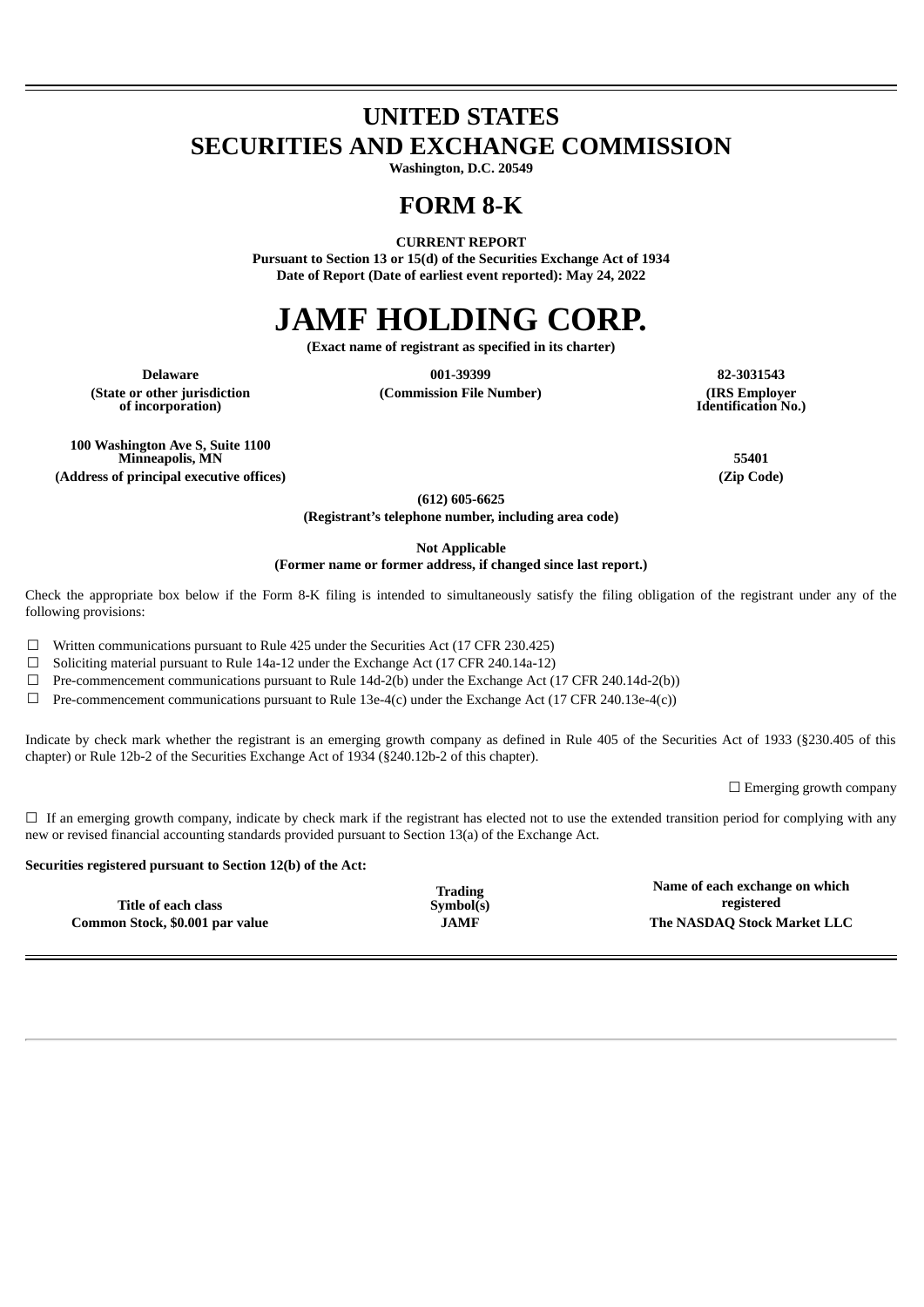## **UNITED STATES SECURITIES AND EXCHANGE COMMISSION**

**Washington, D.C. 20549**

### **FORM 8-K**

**CURRENT REPORT**

**Pursuant to Section 13 or 15(d) of the Securities Exchange Act of 1934 Date of Report (Date of earliest event reported): May 24, 2022**

# **JAMF HOLDING CORP.**

**(Exact name of registrant as specified in its charter)**

**(State or other jurisdiction of incorporation)**

 $(Commission File Number)$ 

**Delaware 001-39399 82-3031543 Identification No.)**

**100 Washington Ave S, Suite 1100 Minneapolis, MN 55401 (Address of principal executive offices) (Zip Code)**

**(612) 605-6625**

**(Registrant's telephone number, including area code)**

**Not Applicable**

**(Former name or former address, if changed since last report.)**

Check the appropriate box below if the Form 8-K filing is intended to simultaneously satisfy the filing obligation of the registrant under any of the following provisions:

☐ Written communications pursuant to Rule 425 under the Securities Act (17 CFR 230.425)

☐ Soliciting material pursuant to Rule 14a-12 under the Exchange Act (17 CFR 240.14a-12)

 $\Box$  Pre-commencement communications pursuant to Rule 14d-2(b) under the Exchange Act (17 CFR 240.14d-2(b))

 $\Box$  Pre-commencement communications pursuant to Rule 13e-4(c) under the Exchange Act (17 CFR 240.13e-4(c))

Indicate by check mark whether the registrant is an emerging growth company as defined in Rule 405 of the Securities Act of 1933 (§230.405 of this chapter) or Rule 12b-2 of the Securities Exchange Act of 1934 (§240.12b-2 of this chapter).

 $\Box$  Emerging growth company

 $\Box$  If an emerging growth company, indicate by check mark if the registrant has elected not to use the extended transition period for complying with any new or revised financial accounting standards provided pursuant to Section 13(a) of the Exchange Act.

#### **Securities registered pursuant to Section 12(b) of the Act:**

|                                 | Trading     | Name of each exchange on which |
|---------------------------------|-------------|--------------------------------|
| Title of each class             | Symbol(s)   | registered                     |
| Common Stock, \$0.001 par value | <b>JAMF</b> | The NASDAQ Stock Market LLC    |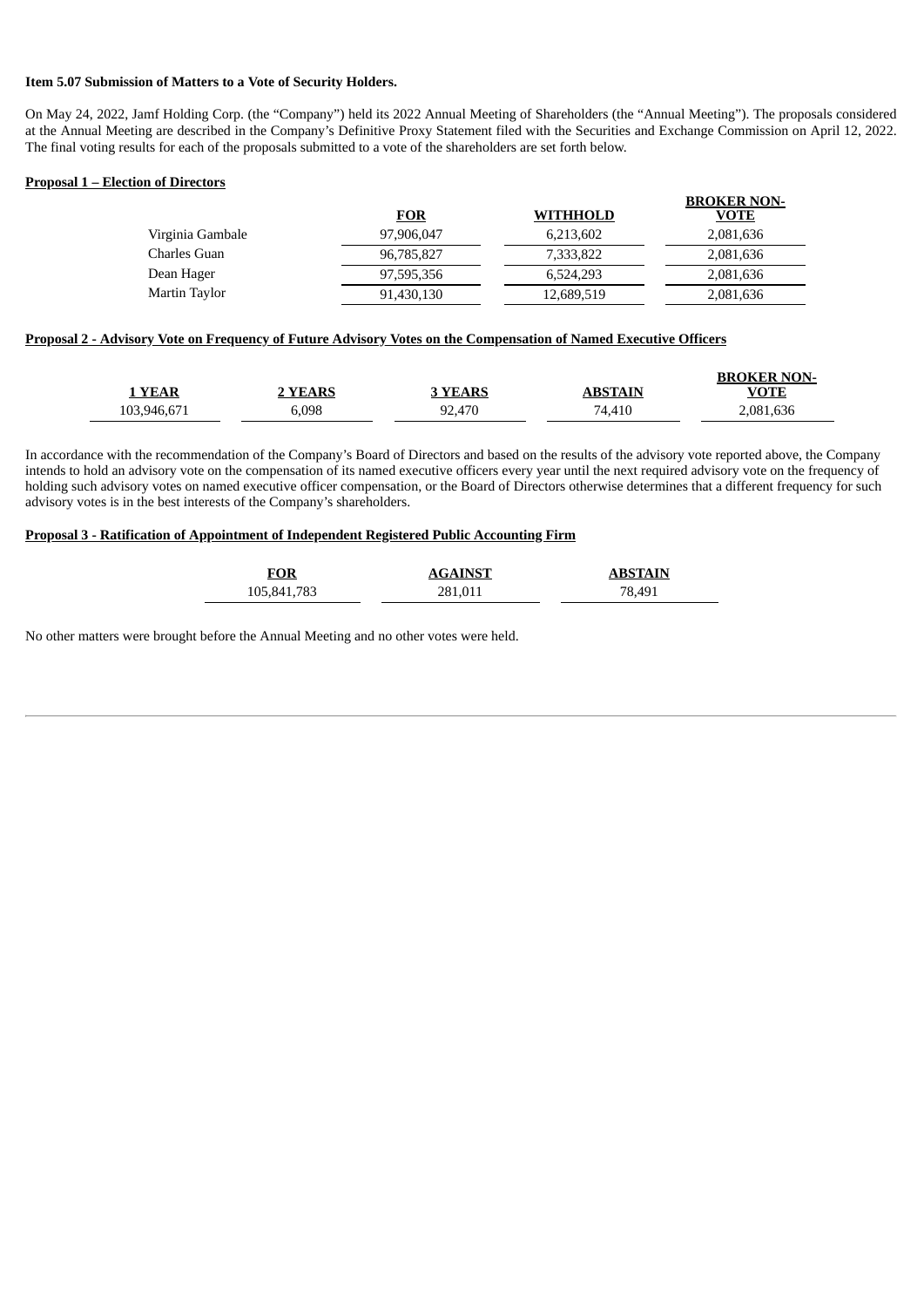#### **Item 5.07 Submission of Matters to a Vote of Security Holders.**

On May 24, 2022, Jamf Holding Corp. (the "Company") held its 2022 Annual Meeting of Shareholders (the "Annual Meeting"). The proposals considered at the Annual Meeting are described in the Company's Definitive Proxy Statement filed with the Securities and Exchange Commission on April 12, 2022. The final voting results for each of the proposals submitted to a vote of the shareholders are set forth below.

#### **Proposal 1 – Election of Directors**

|                  | <b>FOR</b> | WITHHOLD   | DRUNER NUN-<br><b>VOTE</b> |
|------------------|------------|------------|----------------------------|
| Virginia Gambale | 97,906,047 | 6,213,602  | 2,081,636                  |
| Charles Guan     | 96,785,827 | 7.333.822  | 2,081,636                  |
| Dean Hager       | 97,595,356 | 6.524.293  | 2,081,636                  |
| Martin Taylor    | 91,430,130 | 12,689,519 | 2,081,636                  |

**BROKER NON-**

#### Proposal 2 - Advisory Vote on Frequency of Future Advisory Votes on the Compensation of Named Executive Officers

| <b>YEAR</b> | <b>YEARS</b> | <b>3 YEARS</b> | ABSTAIN | <b>BROKER NON-</b><br>VOTE |
|-------------|--------------|----------------|---------|----------------------------|
| 103,946,671 | 5,098        | 92.470         | 74,410  | 2,081,636                  |

In accordance with the recommendation of the Company's Board of Directors and based on the results of the advisory vote reported above, the Company intends to hold an advisory vote on the compensation of its named executive officers every year until the next required advisory vote on the frequency of holding such advisory votes on named executive officer compensation, or the Board of Directors otherwise determines that a different frequency for such advisory votes is in the best interests of the Company's shareholders.

#### **Proposal 3 - Ratification of Appointment of Independent Registered Public Accounting Firm**

| <b>FOR</b>  | <b>AGAINST</b> | <b>ABSTAIN</b> |
|-------------|----------------|----------------|
| 105,841,783 | 281,011        | 78,491         |

No other matters were brought before the Annual Meeting and no other votes were held.